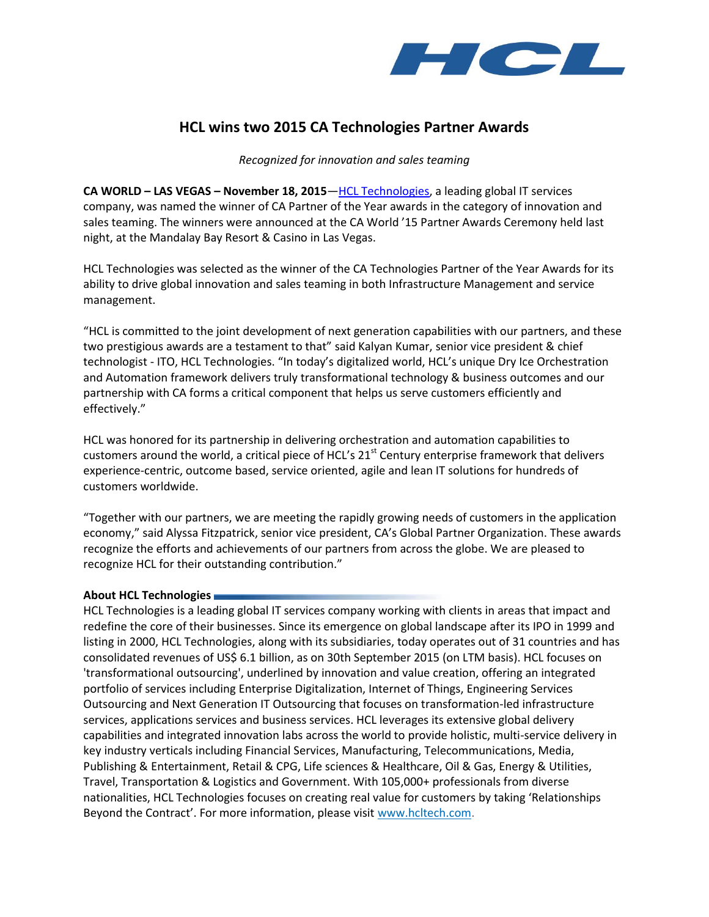

## **HCL wins two 2015 CA Technologies Partner Awards**

*Recognized for innovation and sales teaming* 

**CA WORLD – LAS VEGAS – November 18, 2015**—[HCL Technologies,](http://www.hcltech.com/) a leading global IT services company, was named the winner of CA Partner of the Year awards in the category of innovation and sales teaming. The winners were announced at the CA World '15 Partner Awards Ceremony held last night, at the Mandalay Bay Resort & Casino in Las Vegas.

HCL Technologies was selected as the winner of the CA Technologies Partner of the Year Awards for its ability to drive global innovation and sales teaming in both Infrastructure Management and service management.

"HCL is committed to the joint development of next generation capabilities with our partners, and these two prestigious awards are a testament to that" said Kalyan Kumar, senior vice president & chief technologist - ITO, HCL Technologies. "In today's digitalized world, HCL's unique Dry Ice Orchestration and Automation framework delivers truly transformational technology & business outcomes and our partnership with CA forms a critical component that helps us serve customers efficiently and effectively."

HCL was honored for its partnership in delivering orchestration and automation capabilities to customers around the world, a critical piece of HCL's 21<sup>st</sup> Century enterprise framework that delivers experience-centric, outcome based, service oriented, agile and lean IT solutions for hundreds of customers worldwide.

"Together with our partners, we are meeting the rapidly growing needs of customers in the application economy," said Alyssa Fitzpatrick, senior vice president, CA's Global Partner Organization. These awards recognize the efforts and achievements of our partners from across the globe. We are pleased to recognize HCL for their outstanding contribution."

## **About HCL Technologies**

HCL Technologies is a leading global IT services company working with clients in areas that impact and redefine the core of their businesses. Since its emergence on global landscape after its IPO in 1999 and listing in 2000, HCL Technologies, along with its subsidiaries, today operates out of 31 countries and has consolidated revenues of US\$ 6.1 billion, as on 30th September 2015 (on LTM basis). HCL focuses on 'transformational outsourcing', underlined by innovation and value creation, offering an integrated portfolio of services including Enterprise Digitalization, Internet of Things, Engineering Services Outsourcing and Next Generation IT Outsourcing that focuses on transformation-led infrastructure services, applications services and business services. HCL leverages its extensive global delivery capabilities and integrated innovation labs across the world to provide holistic, multi-service delivery in key industry verticals including Financial Services, Manufacturing, Telecommunications, Media, Publishing & Entertainment, Retail & CPG, Life sciences & Healthcare, Oil & Gas, Energy & Utilities, Travel, Transportation & Logistics and Government. With 105,000+ professionals from diverse nationalities, HCL Technologies focuses on creating real value for customers by taking 'Relationships Beyond the Contract'. For more information, please visit [www.hcltech.com.](http://www.hcltech.com/)